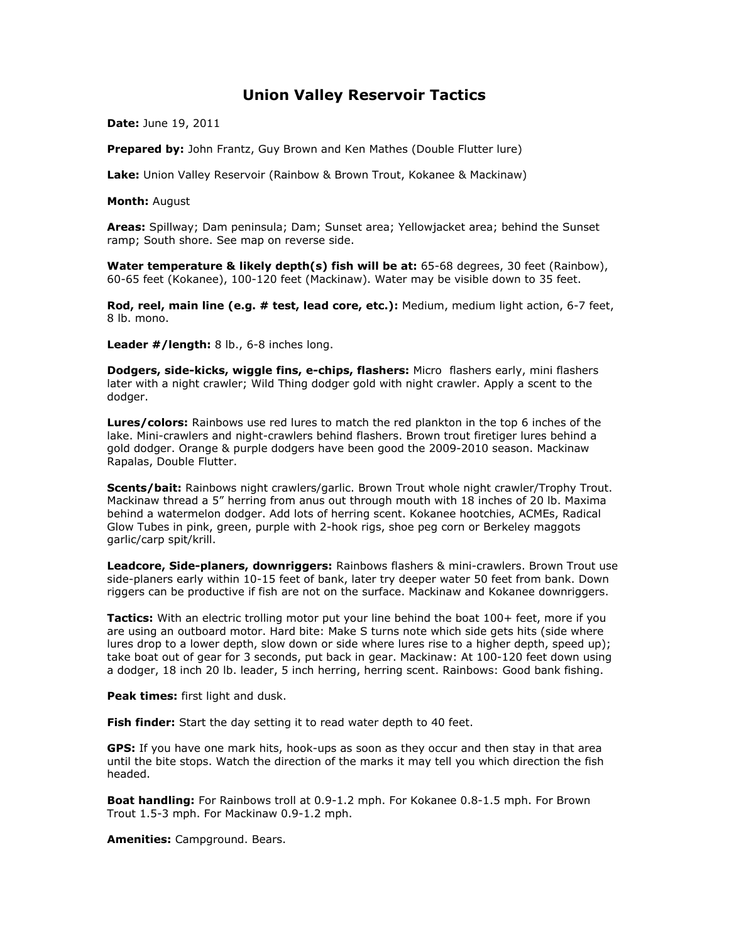## Union Valley Reservoir Tactics

Date: June 19, 2011

Prepared by: John Frantz, Guy Brown and Ken Mathes (Double Flutter lure)

Lake: Union Valley Reservoir (Rainbow & Brown Trout, Kokanee & Mackinaw)

Month: August

Areas: Spillway; Dam peninsula; Dam; Sunset area; Yellowjacket area; behind the Sunset ramp; South shore. See map on reverse side.

Water temperature & likely depth(s) fish will be at: 65-68 degrees, 30 feet (Rainbow), 60-65 feet (Kokanee), 100-120 feet (Mackinaw). Water may be visible down to 35 feet.

Rod, reel, main line (e.g. # test, lead core, etc.): Medium, medium light action, 6-7 feet, 8 lb. mono.

Leader #/length: 8 lb., 6-8 inches long.

Dodgers, side-kicks, wiggle fins, e-chips, flashers: Micro flashers early, mini flashers later with a night crawler; Wild Thing dodger gold with night crawler. Apply a scent to the dodger.

Lures/colors: Rainbows use red lures to match the red plankton in the top 6 inches of the lake. Mini-crawlers and night-crawlers behind flashers. Brown trout firetiger lures behind a gold dodger. Orange & purple dodgers have been good the 2009-2010 season. Mackinaw Rapalas, Double Flutter.

Scents/bait: Rainbows night crawlers/garlic. Brown Trout whole night crawler/Trophy Trout. Mackinaw thread a 5" herring from anus out through mouth with 18 inches of 20 lb. Maxima behind a watermelon dodger. Add lots of herring scent. Kokanee hootchies, ACMEs, Radical Glow Tubes in pink, green, purple with 2-hook rigs, shoe peg corn or Berkeley maggots garlic/carp spit/krill.

**Leadcore, Side-planers, downriggers:** Rainbows flashers & mini-crawlers. Brown Trout use side-planers early within 10-15 feet of bank, later try deeper water 50 feet from bank. Down riggers can be productive if fish are not on the surface. Mackinaw and Kokanee downriggers.

Tactics: With an electric trolling motor put your line behind the boat 100+ feet, more if you are using an outboard motor. Hard bite: Make S turns note which side gets hits (side where lures drop to a lower depth, slow down or side where lures rise to a higher depth, speed up); take boat out of gear for 3 seconds, put back in gear. Mackinaw: At 100-120 feet down using a dodger, 18 inch 20 lb. leader, 5 inch herring, herring scent. Rainbows: Good bank fishing.

Peak times: first light and dusk.

Fish finder: Start the day setting it to read water depth to 40 feet.

GPS: If you have one mark hits, hook-ups as soon as they occur and then stay in that area until the bite stops. Watch the direction of the marks it may tell you which direction the fish headed.

Boat handling: For Rainbows troll at 0.9-1.2 mph. For Kokanee 0.8-1.5 mph. For Brown Trout 1.5-3 mph. For Mackinaw 0.9-1.2 mph.

Amenities: Campground. Bears.